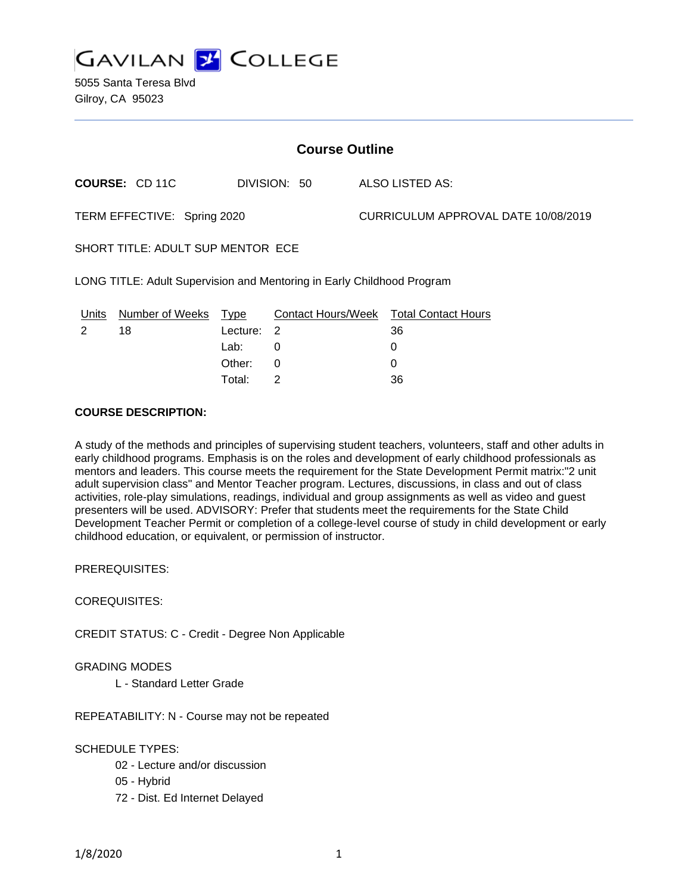

5055 Santa Teresa Blvd Gilroy, CA 95023

| <b>Course Outline</b>                                                  |                       |              |   |  |                                     |                                        |
|------------------------------------------------------------------------|-----------------------|--------------|---|--|-------------------------------------|----------------------------------------|
|                                                                        | <b>COURSE: CD 11C</b> | DIVISION: 50 |   |  |                                     | ALSO LISTED AS:                        |
| TERM EFFECTIVE: Spring 2020                                            |                       |              |   |  | CURRICULUM APPROVAL DATE 10/08/2019 |                                        |
| SHORT TITLE: ADULT SUP MENTOR ECE                                      |                       |              |   |  |                                     |                                        |
| LONG TITLE: Adult Supervision and Mentoring in Early Childhood Program |                       |              |   |  |                                     |                                        |
| <u>Units</u>                                                           | Number of Weeks       | Type         |   |  |                                     | Contact Hours/Week Total Contact Hours |
| 2                                                                      | 18                    | Lecture:     | 2 |  |                                     | 36                                     |
|                                                                        |                       | Lab:         | 0 |  |                                     | 0                                      |
|                                                                        |                       | Other:       | 0 |  |                                     | 0                                      |

Total: 2 36

#### **COURSE DESCRIPTION:**

A study of the methods and principles of supervising student teachers, volunteers, staff and other adults in early childhood programs. Emphasis is on the roles and development of early childhood professionals as mentors and leaders. This course meets the requirement for the State Development Permit matrix:"2 unit adult supervision class" and Mentor Teacher program. Lectures, discussions, in class and out of class activities, role-play simulations, readings, individual and group assignments as well as video and guest presenters will be used. ADVISORY: Prefer that students meet the requirements for the State Child Development Teacher Permit or completion of a college-level course of study in child development or early childhood education, or equivalent, or permission of instructor.

PREREQUISITES:

COREQUISITES:

CREDIT STATUS: C - Credit - Degree Non Applicable

GRADING MODES

L - Standard Letter Grade

REPEATABILITY: N - Course may not be repeated

SCHEDULE TYPES:

- 02 Lecture and/or discussion
- 05 Hybrid
- 72 Dist. Ed Internet Delayed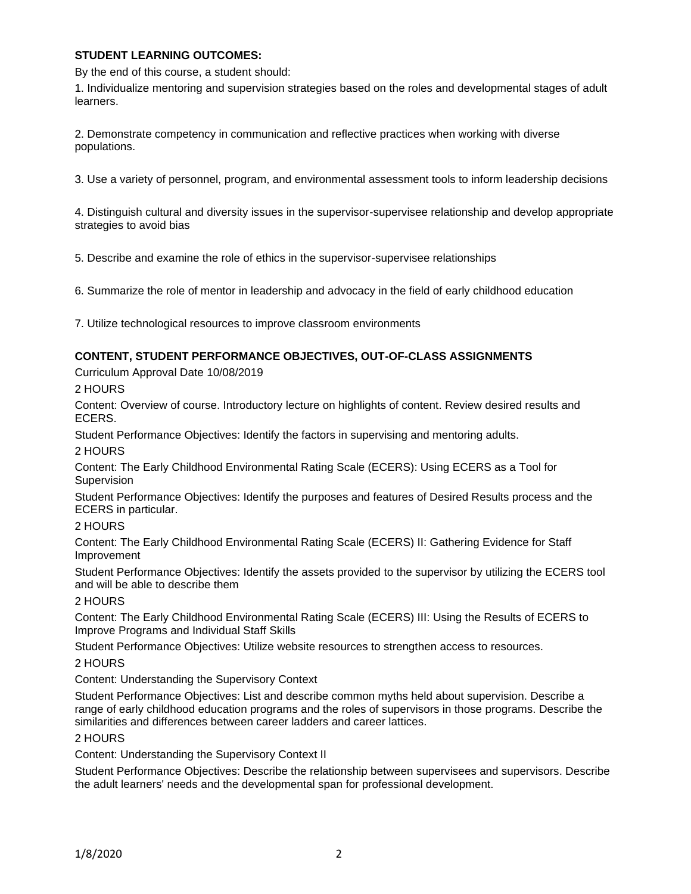### **STUDENT LEARNING OUTCOMES:**

By the end of this course, a student should:

1. Individualize mentoring and supervision strategies based on the roles and developmental stages of adult learners.

2. Demonstrate competency in communication and reflective practices when working with diverse populations.

3. Use a variety of personnel, program, and environmental assessment tools to inform leadership decisions

4. Distinguish cultural and diversity issues in the supervisor-supervisee relationship and develop appropriate strategies to avoid bias

5. Describe and examine the role of ethics in the supervisor-supervisee relationships

6. Summarize the role of mentor in leadership and advocacy in the field of early childhood education

7. Utilize technological resources to improve classroom environments

#### **CONTENT, STUDENT PERFORMANCE OBJECTIVES, OUT-OF-CLASS ASSIGNMENTS**

Curriculum Approval Date 10/08/2019

2 HOURS

Content: Overview of course. Introductory lecture on highlights of content. Review desired results and ECERS.

Student Performance Objectives: Identify the factors in supervising and mentoring adults.

2 HOURS

Content: The Early Childhood Environmental Rating Scale (ECERS): Using ECERS as a Tool for **Supervision** 

Student Performance Objectives: Identify the purposes and features of Desired Results process and the ECERS in particular.

### 2 HOURS

Content: The Early Childhood Environmental Rating Scale (ECERS) II: Gathering Evidence for Staff Improvement

Student Performance Objectives: Identify the assets provided to the supervisor by utilizing the ECERS tool and will be able to describe them

### 2 HOURS

Content: The Early Childhood Environmental Rating Scale (ECERS) III: Using the Results of ECERS to Improve Programs and Individual Staff Skills

Student Performance Objectives: Utilize website resources to strengthen access to resources.

2 HOURS

Content: Understanding the Supervisory Context

Student Performance Objectives: List and describe common myths held about supervision. Describe a range of early childhood education programs and the roles of supervisors in those programs. Describe the similarities and differences between career ladders and career lattices.

### 2 HOURS

Content: Understanding the Supervisory Context II

Student Performance Objectives: Describe the relationship between supervisees and supervisors. Describe the adult learners' needs and the developmental span for professional development.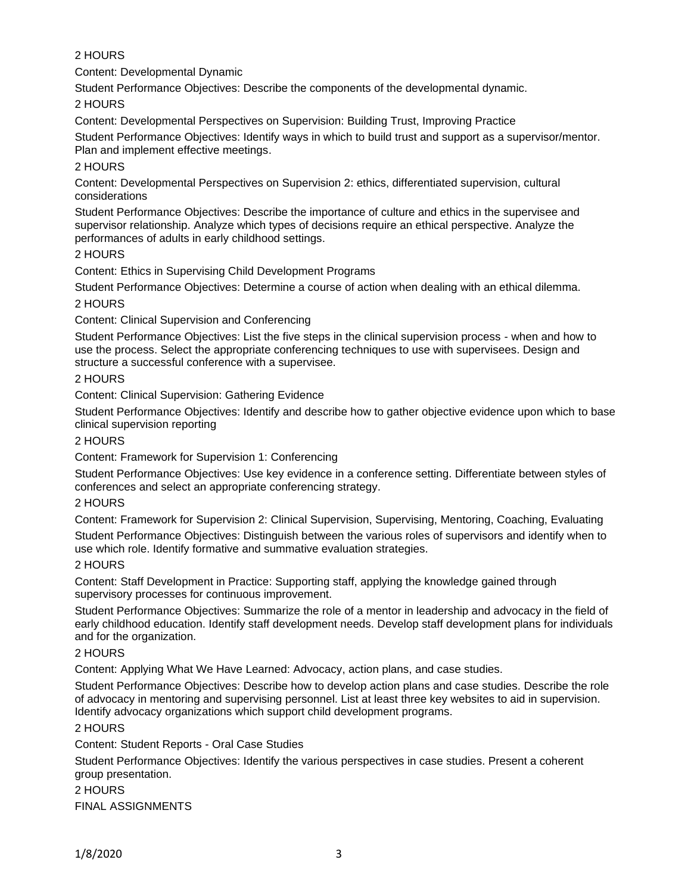2 HOURS

Content: Developmental Dynamic

Student Performance Objectives: Describe the components of the developmental dynamic.

2 HOURS

Content: Developmental Perspectives on Supervision: Building Trust, Improving Practice

Student Performance Objectives: Identify ways in which to build trust and support as a supervisor/mentor. Plan and implement effective meetings.

## 2 HOURS

Content: Developmental Perspectives on Supervision 2: ethics, differentiated supervision, cultural considerations

Student Performance Objectives: Describe the importance of culture and ethics in the supervisee and supervisor relationship. Analyze which types of decisions require an ethical perspective. Analyze the performances of adults in early childhood settings.

# 2 HOURS

Content: Ethics in Supervising Child Development Programs

Student Performance Objectives: Determine a course of action when dealing with an ethical dilemma.

## 2 HOURS

Content: Clinical Supervision and Conferencing

Student Performance Objectives: List the five steps in the clinical supervision process - when and how to use the process. Select the appropriate conferencing techniques to use with supervisees. Design and structure a successful conference with a supervisee.

## 2 HOURS

Content: Clinical Supervision: Gathering Evidence

Student Performance Objectives: Identify and describe how to gather objective evidence upon which to base clinical supervision reporting

## 2 HOURS

Content: Framework for Supervision 1: Conferencing

Student Performance Objectives: Use key evidence in a conference setting. Differentiate between styles of conferences and select an appropriate conferencing strategy.

# 2 HOURS

Content: Framework for Supervision 2: Clinical Supervision, Supervising, Mentoring, Coaching, Evaluating Student Performance Objectives: Distinguish between the various roles of supervisors and identify when to use which role. Identify formative and summative evaluation strategies.

### 2 HOURS

Content: Staff Development in Practice: Supporting staff, applying the knowledge gained through supervisory processes for continuous improvement.

Student Performance Objectives: Summarize the role of a mentor in leadership and advocacy in the field of early childhood education. Identify staff development needs. Develop staff development plans for individuals and for the organization.

### 2 HOURS

Content: Applying What We Have Learned: Advocacy, action plans, and case studies.

Student Performance Objectives: Describe how to develop action plans and case studies. Describe the role of advocacy in mentoring and supervising personnel. List at least three key websites to aid in supervision. Identify advocacy organizations which support child development programs.

### 2 HOURS

Content: Student Reports - Oral Case Studies

Student Performance Objectives: Identify the various perspectives in case studies. Present a coherent group presentation.

# 2 HOURS

FINAL ASSIGNMENTS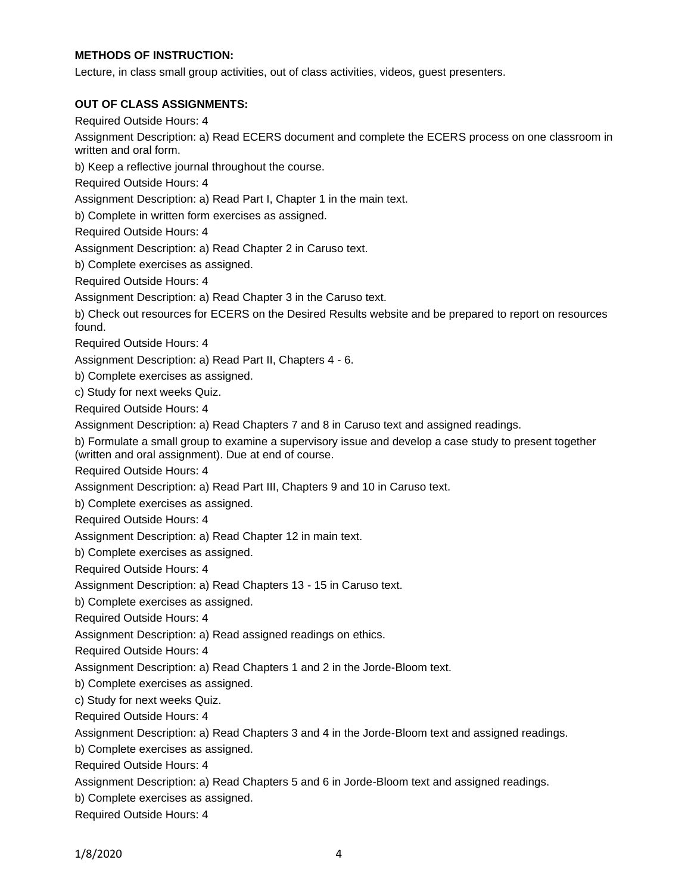## **METHODS OF INSTRUCTION:**

Lecture, in class small group activities, out of class activities, videos, guest presenters.

#### **OUT OF CLASS ASSIGNMENTS:**

Required Outside Hours: 4

Assignment Description: a) Read ECERS document and complete the ECERS process on one classroom in written and oral form.

b) Keep a reflective journal throughout the course.

Required Outside Hours: 4

Assignment Description: a) Read Part I, Chapter 1 in the main text.

b) Complete in written form exercises as assigned.

Required Outside Hours: 4

Assignment Description: a) Read Chapter 2 in Caruso text.

b) Complete exercises as assigned.

Required Outside Hours: 4

Assignment Description: a) Read Chapter 3 in the Caruso text.

b) Check out resources for ECERS on the Desired Results website and be prepared to report on resources found.

Required Outside Hours: 4

Assignment Description: a) Read Part II, Chapters 4 - 6.

b) Complete exercises as assigned.

c) Study for next weeks Quiz.

Required Outside Hours: 4

Assignment Description: a) Read Chapters 7 and 8 in Caruso text and assigned readings.

b) Formulate a small group to examine a supervisory issue and develop a case study to present together (written and oral assignment). Due at end of course.

Required Outside Hours: 4

Assignment Description: a) Read Part III, Chapters 9 and 10 in Caruso text.

b) Complete exercises as assigned.

Required Outside Hours: 4

Assignment Description: a) Read Chapter 12 in main text.

b) Complete exercises as assigned.

Required Outside Hours: 4

Assignment Description: a) Read Chapters 13 - 15 in Caruso text.

b) Complete exercises as assigned.

Required Outside Hours: 4

Assignment Description: a) Read assigned readings on ethics.

Required Outside Hours: 4

Assignment Description: a) Read Chapters 1 and 2 in the Jorde-Bloom text.

b) Complete exercises as assigned.

c) Study for next weeks Quiz.

Required Outside Hours: 4

Assignment Description: a) Read Chapters 3 and 4 in the Jorde-Bloom text and assigned readings.

b) Complete exercises as assigned.

Required Outside Hours: 4

Assignment Description: a) Read Chapters 5 and 6 in Jorde-Bloom text and assigned readings.

b) Complete exercises as assigned.

Required Outside Hours: 4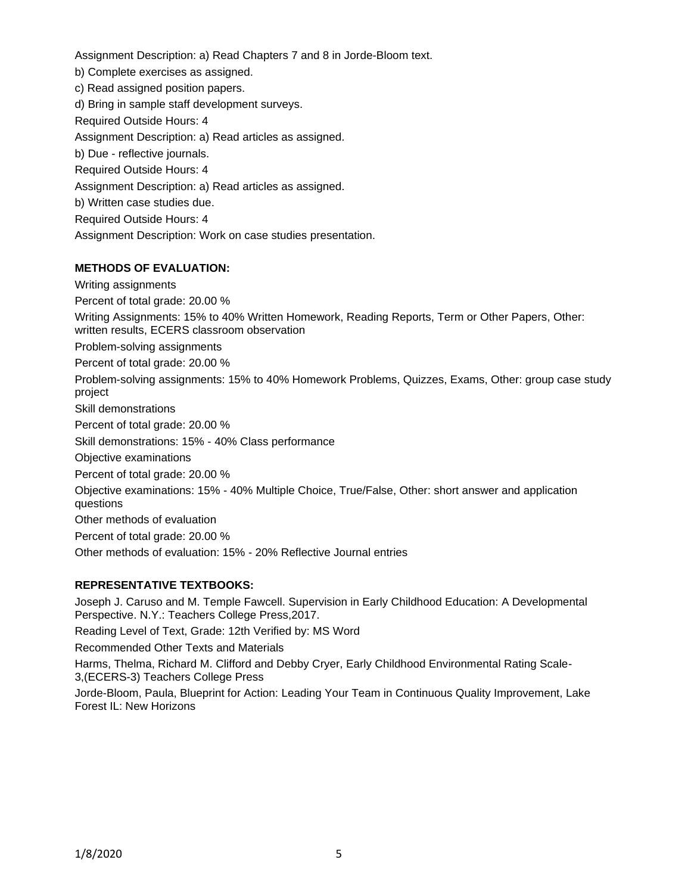Assignment Description: a) Read Chapters 7 and 8 in Jorde-Bloom text. b) Complete exercises as assigned. c) Read assigned position papers. d) Bring in sample staff development surveys. Required Outside Hours: 4 Assignment Description: a) Read articles as assigned. b) Due - reflective journals. Required Outside Hours: 4 Assignment Description: a) Read articles as assigned. b) Written case studies due. Required Outside Hours: 4 Assignment Description: Work on case studies presentation.

## **METHODS OF EVALUATION:**

Writing assignments Percent of total grade: 20.00 % Writing Assignments: 15% to 40% Written Homework, Reading Reports, Term or Other Papers, Other: written results, ECERS classroom observation Problem-solving assignments Percent of total grade: 20.00 % Problem-solving assignments: 15% to 40% Homework Problems, Quizzes, Exams, Other: group case study project Skill demonstrations Percent of total grade: 20.00 % Skill demonstrations: 15% - 40% Class performance Objective examinations Percent of total grade: 20.00 % Objective examinations: 15% - 40% Multiple Choice, True/False, Other: short answer and application questions Other methods of evaluation Percent of total grade: 20.00 % Other methods of evaluation: 15% - 20% Reflective Journal entries

## **REPRESENTATIVE TEXTBOOKS:**

Joseph J. Caruso and M. Temple Fawcell. Supervision in Early Childhood Education: A Developmental Perspective. N.Y.: Teachers College Press,2017. Reading Level of Text, Grade: 12th Verified by: MS Word Recommended Other Texts and Materials Harms, Thelma, Richard M. Clifford and Debby Cryer, Early Childhood Environmental Rating Scale-3,(ECERS-3) Teachers College Press Jorde-Bloom, Paula, Blueprint for Action: Leading Your Team in Continuous Quality Improvement, Lake Forest IL: New Horizons